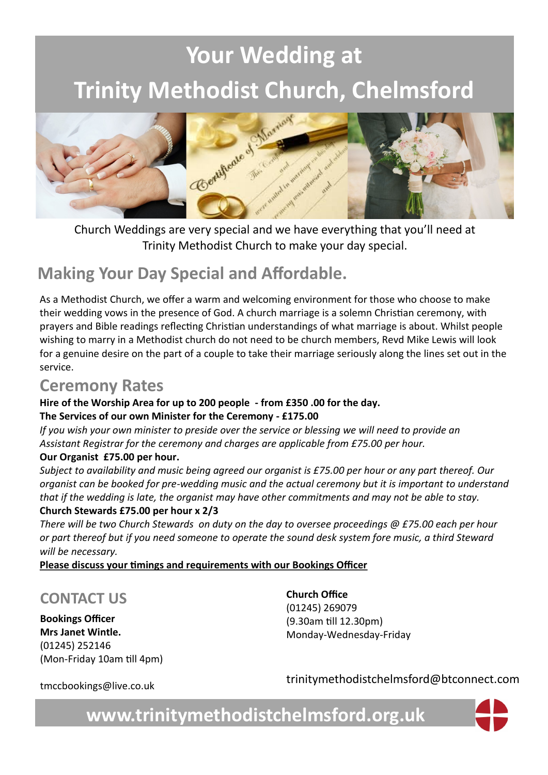# **Your Wedding at Trinity Methodist Church, Chelmsford**



Trinity Methodist Church to make your day special.

## **Making Your Day Special and Affordable.**

As a Methodist Church, we offer a warm and welcoming environment for those who choose to make their wedding vows in the presence of God. A church marriage is a solemn Christian ceremony, with prayers and Bible readings reflecting Christian understandings of what marriage is about. Whilst people wishing to marry in a Methodist church do not need to be church members, Revd Mike Lewis will look for a genuine desire on the part of a couple to take their marriage seriously along the lines set out in the service.

### **Ceremony Rates**

#### **Hire of the Worship Area for up to 200 people - from £350 .00 for the day.**

#### **The Services of our own Minister for the Ceremony - £175.00**

*If you wish your own minister to preside over the service or blessing we will need to provide an Assistant Registrar for the ceremony and charges are applicable from £75.00 per hour.*

#### **Our Organist £75.00 per hour.**

*Subject to availability and music being agreed our organist is £75.00 per hour or any part thereof. Our organist can be booked for pre-wedding music and the actual ceremony but it is important to understand that if the wedding is late, the organist may have other commitments and may not be able to stay.* 

#### **Church Stewards £75.00 per hour x 2/3**

*There will be two Church Stewards on duty on the day to oversee proceedings @ £75.00 each per hour or part thereof but if you need someone to operate the sound desk system fore music, a third Steward will be necessary.*

**Please discuss your timings and requirements with our Bookings Officer** 

### **CONTACT US**

**Bookings Officer Mrs Janet Wintle.** (01245) 252146 (Mon-Friday 10am till 4pm) **Church Office**  (01245) 269079 (9.30am till 12.30pm) Monday-Wednesday-Friday

tmccbookings@live.co.uk

trinitymethodistchelmsford@btconnect.com

**www.trinitymethodistchelmsford.org.uk**